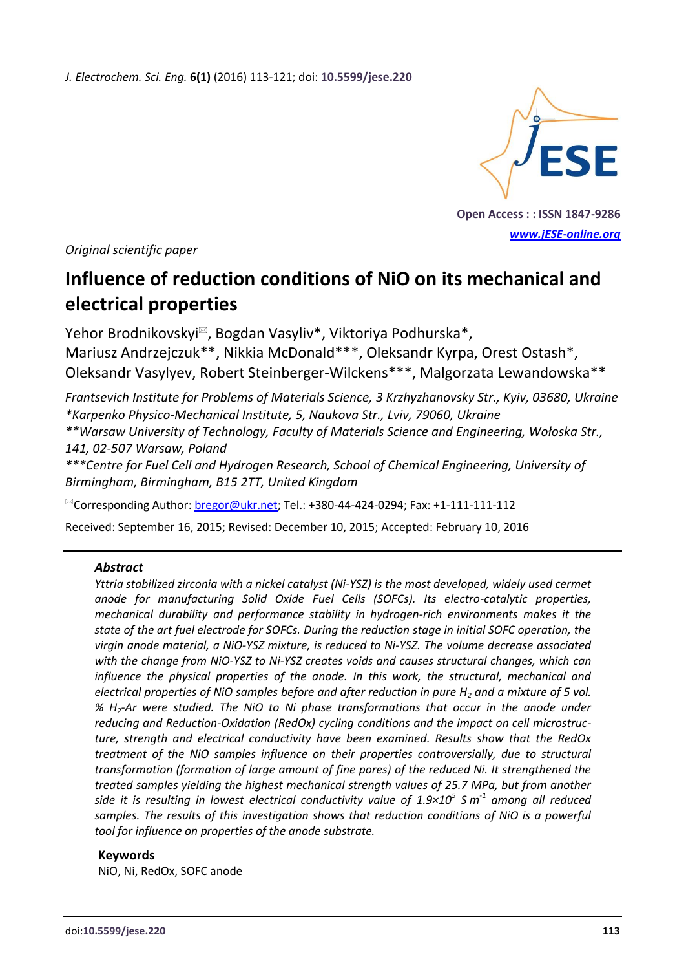*J. Electrochem. Sci. Eng.* **6(1)** (2016) 113-121; doi: **10.5599/jese.220**



**Open Access : : ISSN 1847-9286** *[www.jESE-online.org](http://www.jese-online.org/)*

*Original scientific paper*

# **Influence of reduction conditions of NiO on its mechanical and electrical properties**

Yehor Brodnikovskyi<sup>⊠</sup>, Bogdan Vasyliv<sup>\*</sup>, Viktoriya Podhurska<sup>\*</sup>, Mariusz Andrzejczuk\*\*, Nikkia McDonald\*\*\*, Oleksandr Kyrpa, Orest Ostash\*, Oleksandr Vasylyev, Robert Steinberger-Wilckens\*\*\*, Malgorzata Lewandowska\*\*

*Frantsevich Institute for Problems of Materials Science, 3 Krzhyzhanovsky Str., Kyiv, 03680, Ukraine \*Karpenko Physico-Mechanical Institute, 5, Naukova Str., Lviv, 79060, Ukraine \*\*Warsaw University of Technology, Faculty of Materials Science and Engineering, Wołoska Str.,* 

*141, 02-507 Warsaw, Poland*

*\*\*\*Centre for Fuel Cell and Hydrogen Research, School of Chemical Engineering, University of Birmingham, Birmingham, B15 2TT, United Kingdom*

<sup>⊠</sup>Corresponding Author: **bregor@ukr.net; Tel.: +380-44-424-0294; Fax: +1-111-111-112** 

Received: September 16, 2015; Revised: December 10, 2015; Accepted: February 10, 2016

#### *Abstract*

*Yttria stabilized zirconia with a nickel catalyst (Ni-YSZ) is the most developed, widely used cermet anode for manufacturing Solid Oxide Fuel Cells (SOFCs). Its electro-catalytic properties, mechanical durability and performance stability in hydrogen-rich environments makes it the state of the art fuel electrode for SOFCs. During the reduction stage in initial SOFC operation, the virgin anode material, a NiO-YSZ mixture, is reduced to Ni-YSZ. The volume decrease associated with the change from NiO-YSZ to Ni-YSZ creates voids and causes structural changes, which can influence the physical properties of the anode. In this work, the structural, mechanical and electrical properties of NiO samples before and after reduction in pure H<sup>2</sup> and a mixture of 5 vol. % H2-Ar were studied. The NiO to Ni phase transformations that occur in the anode under reducing and Reduction-Oxidation (RedOx) cycling conditions and the impact on cell microstructure, strength and electrical conductivity have been examined. Results show that the RedOx treatment of the NiO samples influence on their properties controversially, due to structural transformation (formation of large amount of fine pores) of the reduced Ni. It strengthened the treated samples yielding the highest mechanical strength values of 25.7 MPa, but from another side it is resulting in lowest electrical conductivity value of 1.9×10<sup>5</sup> S m -1 among all reduced samples. The results of this investigation shows that reduction conditions of NiO is a powerful tool for influence on properties of the anode substrate.*

#### **Keywords**

NiO, Ni, RedOx, SOFC anode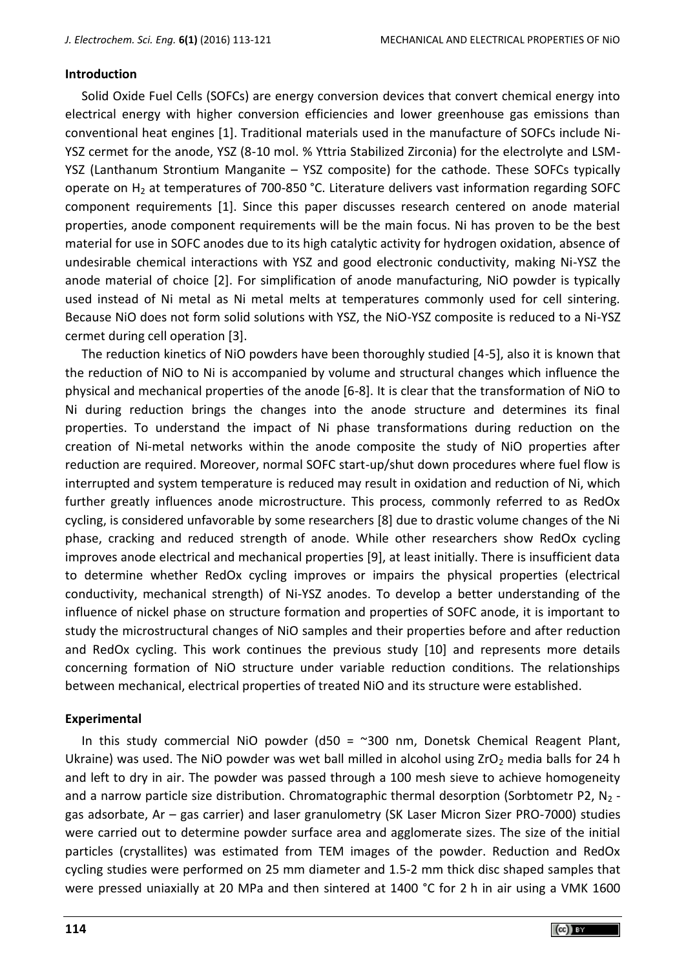## **Introduction**

Solid Oxide Fuel Cells (SOFCs) are energy conversion devices that convert chemical energy into electrical energy with higher conversion efficiencies and lower greenhouse gas emissions than conventional heat engines [1]. Traditional materials used in the manufacture of SOFCs include Ni-YSZ cermet for the anode, YSZ (8-10 mol. % Yttria Stabilized Zirconia) for the electrolyte and LSM-YSZ (Lanthanum Strontium Manganite – YSZ composite) for the cathode. These SOFCs typically operate on  $H_2$  at temperatures of 700-850 °C. Literature delivers vast information regarding SOFC component requirements [1]. Since this paper discusses research centered on anode material properties, anode component requirements will be the main focus. Ni has proven to be the best material for use in SOFC anodes due to its high catalytic activity for hydrogen oxidation, absence of undesirable chemical interactions with YSZ and good electronic conductivity, making Ni-YSZ the anode material of choice [2]. For simplification of anode manufacturing, NiO powder is typically used instead of Ni metal as Ni metal melts at temperatures commonly used for cell sintering. Because NiO does not form solid solutions with YSZ, the NiO-YSZ composite is reduced to a Ni-YSZ cermet during cell operation [3].

The reduction kinetics of NiO powders have been thoroughly studied [4-5], also it is known that the reduction of NiO to Ni is accompanied by volume and structural changes which influence the physical and mechanical properties of the anode [6-8]. It is clear that the transformation of NiO to Ni during reduction brings the changes into the anode structure and determines its final properties. To understand the impact of Ni phase transformations during reduction on the creation of Ni-metal networks within the anode composite the study of NiO properties after reduction are required. Moreover, normal SOFC start-up/shut down procedures where fuel flow is interrupted and system temperature is reduced may result in oxidation and reduction of Ni, which further greatly influences anode microstructure. This process, commonly referred to as RedOx cycling, is considered unfavorable by some researchers [8] due to drastic volume changes of the Ni phase, cracking and reduced strength of anode. While other researchers show RedOx cycling improves anode electrical and mechanical properties [9], at least initially. There is insufficient data to determine whether RedOx cycling improves or impairs the physical properties (electrical conductivity, mechanical strength) of Ni-YSZ anodes. To develop a better understanding of the influence of nickel phase on structure formation and properties of SOFC anode, it is important to study the microstructural changes of NiO samples and their properties before and after reduction and RedOx cycling. This work continues the previous study [10] and represents more details concerning formation of NiO structure under variable reduction conditions. The relationships between mechanical, electrical properties of treated NiO and its structure were established.

## **Experimental**

In this study commercial NiO powder (d50 =  $\approx$ 300 nm, Donetsk Chemical Reagent Plant, Ukraine) was used. The NiO powder was wet ball milled in alcohol using  $ZrO<sub>2</sub>$  media balls for 24 h and left to dry in air. The powder was passed through a 100 mesh sieve to achieve homogeneity and a narrow particle size distribution. Chromatographic thermal desorption (Sorbtometr P2,  $N_2$  gas adsorbate, Ar – gas carrier) and laser granulometry (SK Laser Micron Sizer PRO-7000) studies were carried out to determine powder surface area and agglomerate sizes. The size of the initial particles (crystallites) was estimated from TEM images of the powder. Reduction and RedOx cycling studies were performed on 25 mm diameter and 1.5-2 mm thick disc shaped samples that were pressed uniaxially at 20 MPa and then sintered at 1400 °C for 2 h in air using a VMK 1600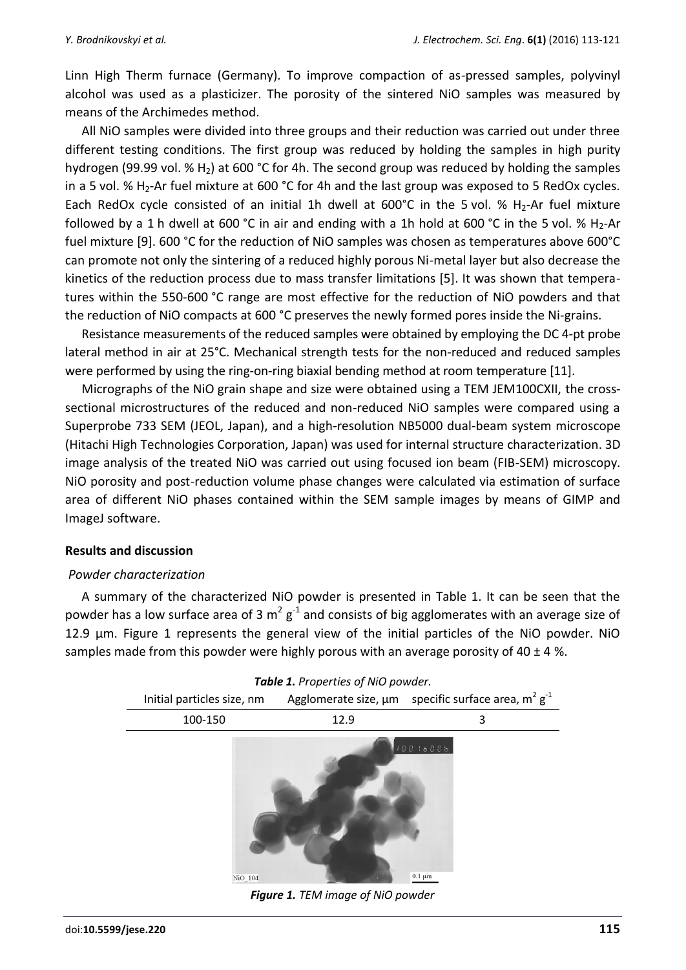Linn High Therm furnace (Germany). To improve compaction of as-pressed samples, polyvinyl alcohol was used as a plasticizer. The porosity of the sintered NiO samples was measured by means of the Archimedes method.

All NiO samples were divided into three groups and their reduction was carried out under three different testing conditions. The first group was reduced by holding the samples in high purity hydrogen (99.99 vol. %  $H_2$ ) at 600 °C for 4h. The second group was reduced by holding the samples in a 5 vol. %  $H_2$ -Ar fuel mixture at 600 °C for 4h and the last group was exposed to 5 RedOx cycles. Each RedOx cycle consisted of an initial 1h dwell at 600°C in the 5 vol. % H<sub>2</sub>-Ar fuel mixture followed by a 1 h dwell at 600 °C in air and ending with a 1h hold at 600 °C in the 5 vol. % H<sub>2</sub>-Ar fuel mixture [9]. 600 °C for the reduction of NiO samples was chosen as temperatures above 600°C can promote not only the sintering of a reduced highly porous Ni-metal layer but also decrease the kinetics of the reduction process due to mass transfer limitations [5]. It was shown that temperatures within the 550-600 °C range are most effective for the reduction of NiO powders and that the reduction of NiO compacts at 600 °C preserves the newly formed pores inside the Ni-grains.

Resistance measurements of the reduced samples were obtained by employing the DC 4-pt probe lateral method in air at 25°C. Mechanical strength tests for the non-reduced and reduced samples were performed by using the ring-on-ring biaxial bending method at room temperature [11].

Micrographs of the NiO grain shape and size were obtained using a TEM JEM100СXІІ, the crosssectional microstructures of the reduced and non-reduced NiO samples were compared using a Superprobe 733 SEM (JEOL, Japan), and a high-resolution NB5000 dual-beam system microscope (Hitachi High Technologies Corporation, Japan) was used for internal structure characterization. 3D image analysis of the treated NiO was carried out using focused ion beam (FIB-SEM) microscopy. NiO porosity and post-reduction volume phase changes were calculated via estimation of surface area of different NiO phases contained within the SEM sample images by means of GIMP and ImageJ software.

## **Results and discussion**

#### *Powder characterization*

A summary of the characterized NiO powder is presented in Table 1. It can be seen that the powder has a low surface area of 3 m<sup>2</sup> g<sup>-1</sup> and consists of big agglomerates with an average size of 12.9 µm. Figure 1 represents the general view of the initial particles of the NiO powder. NiO samples made from this powder were highly porous with an average porosity of 40  $\pm$  4 %.



*Figure 1. TEM image of NiO powder*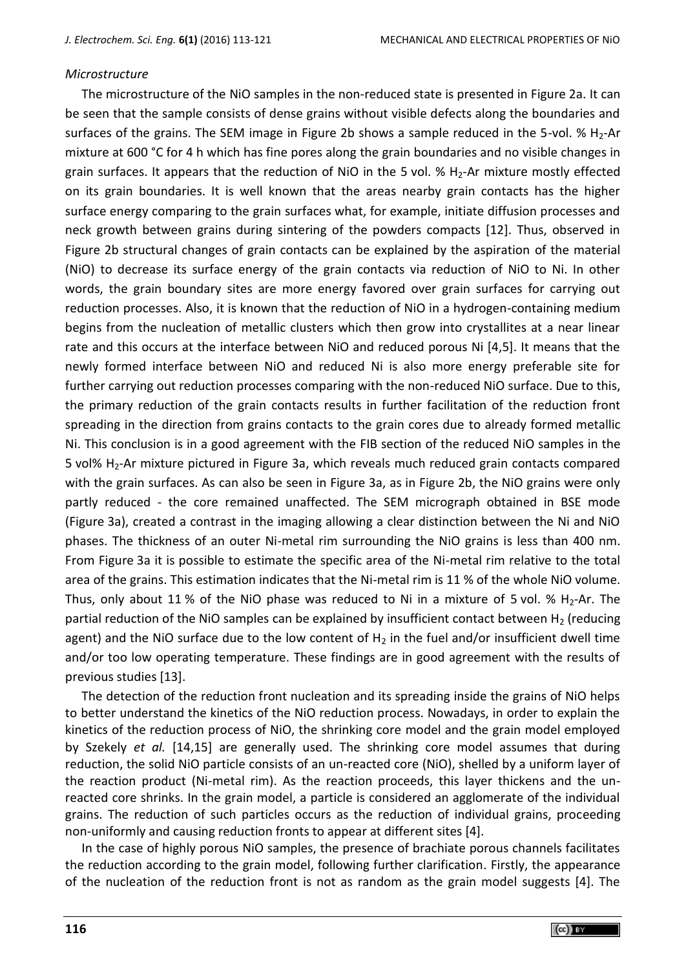#### *Microstructure*

The microstructure of the NiO samples in the non-reduced state is presented in Figure 2a. It can be seen that the sample consists of dense grains without visible defects along the boundaries and surfaces of the grains. The SEM image in Figure 2b shows a sample reduced in the 5-vol. %  $H_2$ -Ar mixture at 600 °C for 4 h which has fine pores along the grain boundaries and no visible changes in grain surfaces. It appears that the reduction of NiO in the 5 vol.  $% H_{2}$ -Ar mixture mostly effected on its grain boundaries. It is well known that the areas nearby grain contacts has the higher surface energy comparing to the grain surfaces what, for example, initiate diffusion processes and neck growth between grains during sintering of the powders compacts [12]. Thus, observed in Figure 2b structural changes of grain contacts can be explained by the aspiration of the material (NiO) to decrease its surface energy of the grain contacts via reduction of NiO to Ni. In other words, the grain boundary sites are more energy favored over grain surfaces for carrying out reduction processes. Also, it is known that the reduction of NiO in a hydrogen-containing medium begins from the nucleation of metallic clusters which then grow into crystallites at a near linear rate and this occurs at the interface between NiO and reduced porous Ni [4,5]. It means that the newly formed interface between NiO and reduced Ni is also more energy preferable site for further carrying out reduction processes comparing with the non-reduced NiO surface. Due to this, the primary reduction of the grain contacts results in further facilitation of the reduction front spreading in the direction from grains contacts to the grain cores due to already formed metallic Ni. This conclusion is in a good agreement with the FIB section of the reduced NiO samples in the 5 vol% H2-Ar mixture pictured in Figure 3a, which reveals much reduced grain contacts compared with the grain surfaces. As can also be seen in Figure 3a, as in Figure 2b, the NiO grains were only partly reduced - the core remained unaffected. The SEM micrograph obtained in BSE mode (Figure 3a), created a contrast in the imaging allowing a clear distinction between the Ni and NiO phases. The thickness of an outer Ni-metal rim surrounding the NiO grains is less than 400 nm. From Figure 3a it is possible to estimate the specific area of the Ni-metal rim relative to the total area of the grains. This estimation indicates that the Ni-metal rim is 11 % of the whole NiO volume. Thus, only about 11 % of the NiO phase was reduced to Ni in a mixture of 5 vol. % H<sub>2</sub>-Ar. The partial reduction of the NiO samples can be explained by insufficient contact between  $H_2$  (reducing agent) and the NiO surface due to the low content of  $H_2$  in the fuel and/or insufficient dwell time and/or too low operating temperature. These findings are in good agreement with the results of previous studies [13].

The detection of the reduction front nucleation and its spreading inside the grains of NiO helps to better understand the kinetics of the NiO reduction process. Nowadays, in order to explain the kinetics of the reduction process of NiO, the shrinking core model and the grain model employed by Szekely *et al.* [14,15] are generally used. The shrinking core model assumes that during reduction, the solid NiO particle consists of an un-reacted core (NiO), shelled by a uniform layer of the reaction product (Ni-metal rim). As the reaction proceeds, this layer thickens and the unreacted core shrinks. In the grain model, a particle is considered an agglomerate of the individual grains. The reduction of such particles occurs as the reduction of individual grains, proceeding non-uniformly and causing reduction fronts to appear at different sites [4].

In the case of highly porous NiO samples, the presence of brachiate porous channels facilitates the reduction according to the grain model, following further clarification. Firstly, the appearance of the nucleation of the reduction front is not as random as the grain model suggests [4]. The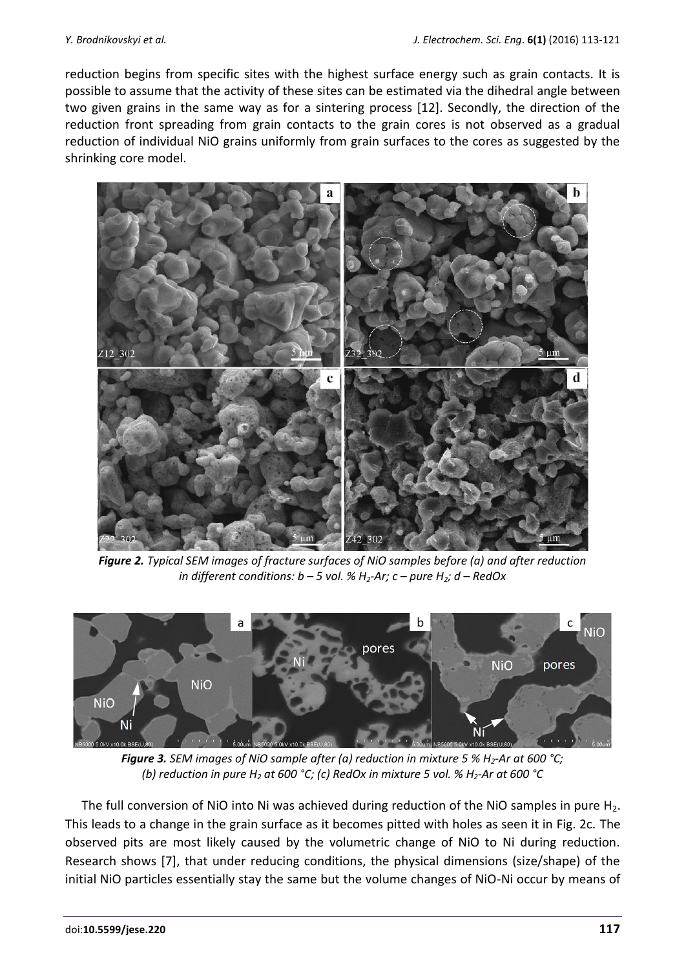reduction begins from specific sites with the highest surface energy such as grain contacts. It is possible to assume that the activity of these sites can be estimated via the dihedral angle between two given grains in the same way as for a sintering process [12]. Secondly, the direction of the reduction front spreading from grain contacts to the grain cores is not observed as a gradual reduction of individual NiO grains uniformly from grain surfaces to the cores as suggested by the shrinking core model.



*Figure 2. Typical SEM images of fracture surfaces of NiO samples before (a) and after reduction in different conditions: b – 5 vol. % H2-Ar; c – pure H2; d – RedOx*



*Figure 3. SEM images of NiO sample after (a) reduction in mixture 5 % H2-Ar at 600 °C; (b) reduction in pure H<sup>2</sup> at 600 °C; (c) RedOx in mixture 5 vol. % H2-Ar at 600 °C*

The full conversion of NiO into Ni was achieved during reduction of the NiO samples in pure  $H_2$ . This leads to a change in the grain surface as it becomes pitted with holes as seen it in Fig. 2c. The observed pits are most likely caused by the volumetric change of NiO to Ni during reduction. Research shows [7], that under reducing conditions, the physical dimensions (size/shape) of the initial NiO particles essentially stay the same but the volume changes of NiO-Ni occur by means of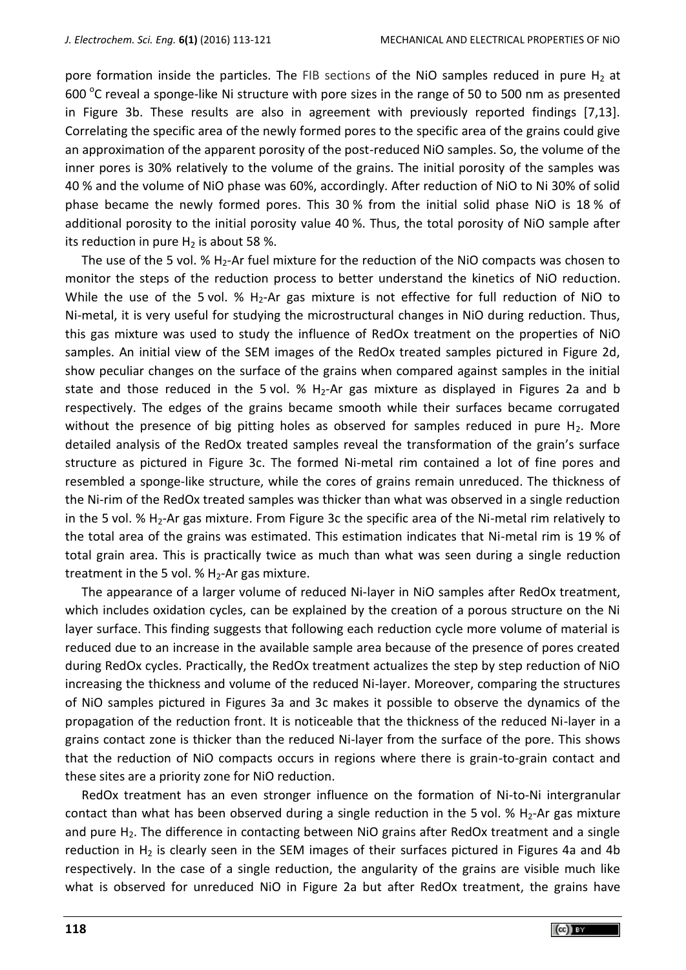pore formation inside the particles. The FIB sections of the NiO samples reduced in pure  $H_2$  at 600  $\degree$ C reveal a sponge-like Ni structure with pore sizes in the range of 50 to 500 nm as presented in Figure 3b. These results are also in agreement with previously reported findings [7,13]. Correlating the specific area of the newly formed pores to the specific area of the grains could give an approximation of the apparent porosity of the post-reduced NiO samples. So, the volume of the inner pores is 30% relatively to the volume of the grains. The initial porosity of the samples was 40 % and the volume of NiO phase was 60%, accordingly. After reduction of NiO to Ni 30% of solid phase became the newly formed pores. This 30 % from the initial solid phase NiO is 18 % of additional porosity to the initial porosity value 40 %. Thus, the total porosity of NiO sample after its reduction in pure  $H_2$  is about 58 %.

The use of the 5 vol. %  $H_2$ -Ar fuel mixture for the reduction of the NiO compacts was chosen to monitor the steps of the reduction process to better understand the kinetics of NiO reduction. While the use of the 5 vol. %  $H_2$ -Ar gas mixture is not effective for full reduction of NiO to Ni-metal, it is very useful for studying the microstructural changes in NiO during reduction. Thus, this gas mixture was used to study the influence of RedOx treatment on the properties of NiO samples. An initial view of the SEM images of the RedOx treated samples pictured in Figure 2d, show peculiar changes on the surface of the grains when compared against samples in the initial state and those reduced in the 5 vol.  $\%$  H<sub>2</sub>-Ar gas mixture as displayed in Figures 2a and b respectively. The edges of the grains became smooth while their surfaces became corrugated without the presence of big pitting holes as observed for samples reduced in pure  $H<sub>2</sub>$ . More detailed analysis of the RedOx treated samples reveal the transformation of the grain's surface structure as pictured in Figure 3c. The formed Ni-metal rim contained a lot of fine pores and resembled a sponge-like structure, while the cores of grains remain unreduced. The thickness of the Ni-rim of the RedOx treated samples was thicker than what was observed in a single reduction in the 5 vol. % H<sub>2</sub>-Ar gas mixture. From Figure 3c the specific area of the Ni-metal rim relatively to the total area of the grains was estimated. This estimation indicates that Ni-metal rim is 19 % of total grain area. This is practically twice as much than what was seen during a single reduction treatment in the 5 vol. %  $H_2$ -Ar gas mixture.

The appearance of a larger volume of reduced Ni-layer in NiO samples after RedOx treatment, which includes oxidation cycles, can be explained by the creation of a porous structure on the Ni layer surface. This finding suggests that following each reduction cycle more volume of material is reduced due to an increase in the available sample area because of the presence of pores created during RedOx cycles. Practically, the RedOx treatment actualizes the step by step reduction of NiO increasing the thickness and volume of the reduced Ni-layer. Moreover, comparing the structures of NiO samples pictured in Figures 3a and 3c makes it possible to observe the dynamics of the propagation of the reduction front. It is noticeable that the thickness of the reduced Ni-layer in a grains contact zone is thicker than the reduced Ni-layer from the surface of the pore. This shows that the reduction of NiO compacts occurs in regions where there is grain-to-grain contact and these sites are a priority zone for NiO reduction.

RedOx treatment has an even stronger influence on the formation of Ni-to-Ni intergranular contact than what has been observed during a single reduction in the 5 vol.  $%$  H<sub>2</sub>-Ar gas mixture and pure  $H_2$ . The difference in contacting between NiO grains after RedOx treatment and a single reduction in  $H_2$  is clearly seen in the SEM images of their surfaces pictured in Figures 4a and 4b respectively. In the case of a single reduction, the angularity of the grains are visible much like what is observed for unreduced NiO in Figure 2a but after RedOx treatment, the grains have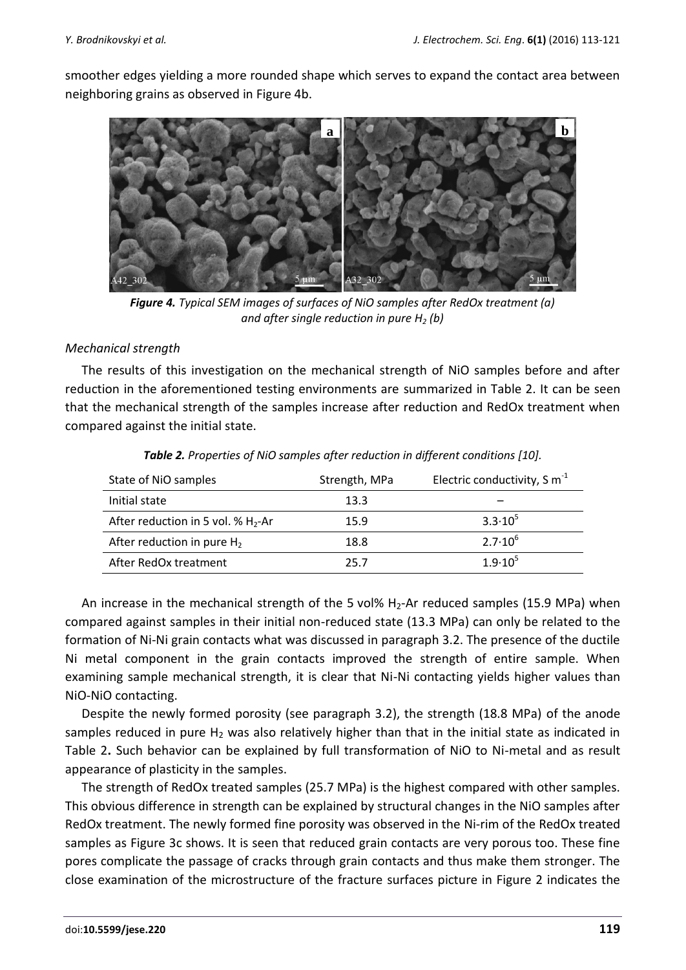smoother edges yielding a more rounded shape which serves to expand the contact area between neighboring grains as observed in Figure 4b.



*Figure 4. Typical SEM images of surfaces of NiO samples after RedOx treatment (a) and after single reduction in pure H<sup>2</sup> (b)*

### *Mechanical strength*

The results of this investigation on the mechanical strength of NiO samples before and after reduction in the aforementioned testing environments are summarized in Table 2. It can be seen that the mechanical strength of the samples increase after reduction and RedOx treatment when compared against the initial state.

| State of NiO samples                  | Strength, MPa | Electric conductivity, S $m^{-1}$ |
|---------------------------------------|---------------|-----------------------------------|
| Initial state                         | 13.3          |                                   |
| After reduction in 5 vol. % $H_2$ -Ar | 15.9          | $3.3 \cdot 10^{5}$                |
| After reduction in pure $H_2$         | 18.8          | $2.7 \cdot 10^{6}$                |
| After RedOx treatment                 | 25.7          | $1.9 \cdot 10^{5}$                |

| Table 2. Properties of NiO samples after reduction in different conditions [10]. |  |  |  |
|----------------------------------------------------------------------------------|--|--|--|
|----------------------------------------------------------------------------------|--|--|--|

An increase in the mechanical strength of the 5 vol%  $H_2$ -Ar reduced samples (15.9 MPa) when compared against samples in their initial non-reduced state (13.3 MPa) can only be related to the formation of Ni-Ni grain contacts what was discussed in paragraph 3.2. The presence of the ductile Ni metal component in the grain contacts improved the strength of entire sample. When examining sample mechanical strength, it is clear that Ni-Ni contacting yields higher values than NiO-NiO contacting.

Despite the newly formed porosity (see paragraph 3.2), the strength (18.8 MPa) of the anode samples reduced in pure  $H_2$  was also relatively higher than that in the initial state as indicated in Table 2**.** Such behavior can be explained by full transformation of NiO to Ni-metal and as result appearance of plasticity in the samples.

The strength of RedOx treated samples (25.7 MPa) is the highest compared with other samples. This obvious difference in strength can be explained by structural changes in the NiO samples after RedOx treatment. The newly formed fine porosity was observed in the Ni-rim of the RedOx treated samples as Figure 3c shows. It is seen that reduced grain contacts are very porous too. These fine pores complicate the passage of cracks through grain contacts and thus make them stronger. The close examination of the microstructure of the fracture surfaces picture in Figure 2 indicates the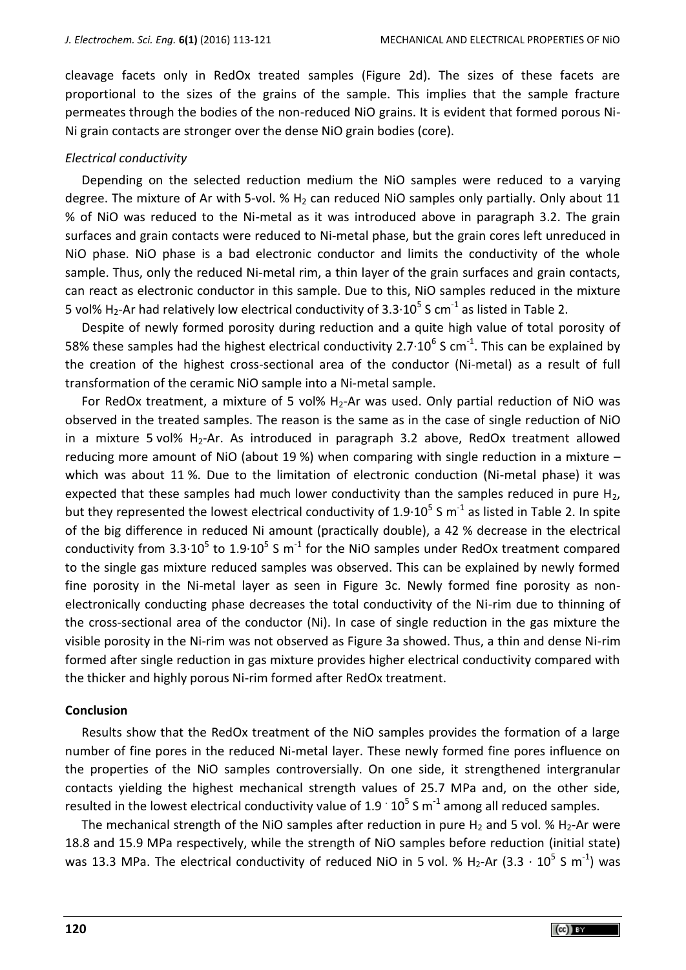cleavage facets only in RedOx treated samples (Figure 2d). The sizes of these facets are proportional to the sizes of the grains of the sample. This implies that the sample fracture permeates through the bodies of the non-reduced NiO grains. It is evident that formed porous Ni-Ni grain contacts are stronger over the dense NiO grain bodies (core).

## *Electrical conductivity*

Depending on the selected reduction medium the NiO samples were reduced to a varying degree. The mixture of Ar with 5-vol. %  $H_2$  can reduced NiO samples only partially. Only about 11 % of NiO was reduced to the Ni-metal as it was introduced above in paragraph 3.2. The grain surfaces and grain contacts were reduced to Ni-metal phase, but the grain cores left unreduced in NiO phase. NiO phase is a bad electronic conductor and limits the conductivity of the whole sample. Thus, only the reduced Ni-metal rim, a thin layer of the grain surfaces and grain contacts, can react as electronic conductor in this sample. Due to this, NiO samples reduced in the mixture 5 vol% H<sub>2</sub>-Ar had relatively low electrical conductivity of 3.3 $\cdot 10^5$  S cm<sup>-1</sup> as listed in Table 2.

Despite of newly formed porosity during reduction and a quite high value of total porosity of 58% these samples had the highest electrical conductivity 2.7 $\cdot$ 10<sup>6</sup> S cm<sup>-1</sup>. This can be explained by the creation of the highest cross-sectional area of the conductor (Ni-metal) as a result of full transformation of the ceramic NiO sample into a Ni-metal sample.

For RedOx treatment, a mixture of 5 vol%  $H_2$ -Ar was used. Only partial reduction of NiO was observed in the treated samples. The reason is the same as in the case of single reduction of NiO in a mixture 5 vol%  $H_2$ -Ar. As introduced in paragraph 3.2 above, RedOx treatment allowed reducing more amount of NiO (about 19 %) when comparing with single reduction in a mixture – which was about 11 %. Due to the limitation of electronic conduction (Ni-metal phase) it was expected that these samples had much lower conductivity than the samples reduced in pure  $H<sub>2</sub>$ , but they represented the lowest electrical conductivity of 1.9 $\cdot$ 10<sup>5</sup> S m<sup>-1</sup> as listed in Table 2. In spite of the big difference in reduced Ni amount (practically double), a 42 % decrease in the electrical conductivity from 3.3 $\cdot$ 10<sup>5</sup> to 1.9 $\cdot$ 10<sup>5</sup> S m<sup>-1</sup> for the NiO samples under RedOx treatment compared to the single gas mixture reduced samples was observed. This can be explained by newly formed fine porosity in the Ni-metal layer as seen in Figure 3c. Newly formed fine porosity as nonelectronically conducting phase decreases the total conductivity of the Ni-rim due to thinning of the cross-sectional area of the conductor (Ni). In case of single reduction in the gas mixture the visible porosity in the Ni-rim was not observed as Figure 3a showed. Thus, a thin and dense Ni-rim formed after single reduction in gas mixture provides higher electrical conductivity compared with the thicker and highly porous Ni-rim formed after RedOx treatment.

#### **Conclusion**

Results show that the RedOx treatment of the NiO samples provides the formation of a large number of fine pores in the reduced Ni-metal layer. These newly formed fine pores influence on the properties of the NiO samples controversially. On one side, it strengthened intergranular contacts yielding the highest mechanical strength values of 25.7 MPa and, on the other side, resulted in the lowest electrical conductivity value of 1.9  $\cdot$  10<sup>5</sup> S m<sup>-1</sup> among all reduced samples.

The mechanical strength of the NiO samples after reduction in pure  $H_2$  and 5 vol. %  $H_2$ -Ar were 18.8 and 15.9 MPa respectively, while the strength of NiO samples before reduction (initial state) was 13.3 MPa. The electrical conductivity of reduced NiO in 5 vol. % H<sub>2</sub>-Ar (3.3  $\cdot$  10<sup>5</sup> S m<sup>-1</sup>) was